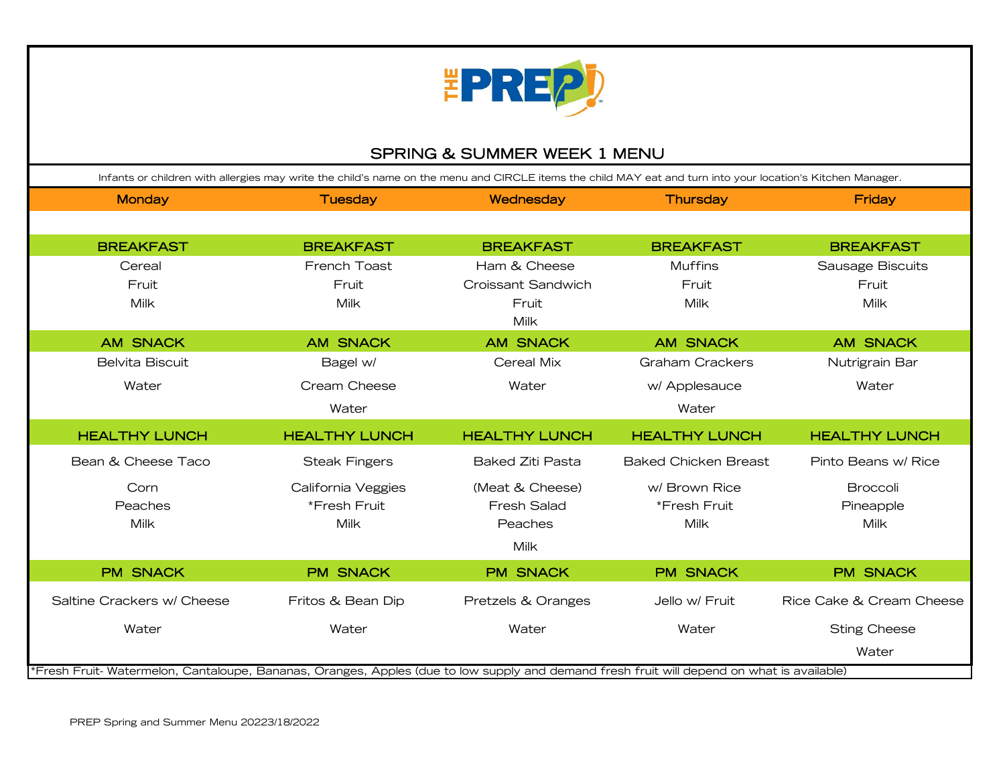

## SPRING & SUMMER WEEK 1 MENU

| Infants or children with allergies may write the child's name on the menu and CIRCLE items the child MAY eat and turn into your location's Kitchen Manager. |                      |                           |                             |                          |
|-------------------------------------------------------------------------------------------------------------------------------------------------------------|----------------------|---------------------------|-----------------------------|--------------------------|
| <b>Monday</b>                                                                                                                                               | <b>Tuesday</b>       | Wednesday                 | Thursday                    | Friday                   |
|                                                                                                                                                             |                      |                           |                             |                          |
| <b>BREAKFAST</b>                                                                                                                                            | <b>BREAKFAST</b>     | <b>BREAKFAST</b>          | <b>BREAKFAST</b>            | <b>BREAKFAST</b>         |
| Cereal                                                                                                                                                      | French Toast         | Ham & Cheese              | <b>Muffins</b>              | Sausage Biscuits         |
| Fruit                                                                                                                                                       | Fruit                | <b>Croissant Sandwich</b> | Fruit                       | Fruit                    |
| Milk                                                                                                                                                        | <b>Milk</b>          | Fruit                     | <b>Milk</b>                 | <b>Milk</b>              |
|                                                                                                                                                             |                      | Milk                      |                             |                          |
| <b>AM SNACK</b>                                                                                                                                             | <b>AM SNACK</b>      | <b>AM SNACK</b>           | <b>AM SNACK</b>             | <b>AM SNACK</b>          |
| Belvita Biscuit                                                                                                                                             | Bagel w/             | Cereal Mix                | <b>Graham Crackers</b>      | Nutrigrain Bar           |
| Water                                                                                                                                                       | Cream Cheese         | Water                     | w/ Applesauce               | Water                    |
|                                                                                                                                                             | Water                |                           | Water                       |                          |
| <b>HEALTHY LUNCH</b>                                                                                                                                        | <b>HEALTHY LUNCH</b> | <b>HEALTHY LUNCH</b>      | <b>HEALTHY LUNCH</b>        | <b>HEALTHY LUNCH</b>     |
| Bean & Cheese Taco                                                                                                                                          | <b>Steak Fingers</b> | <b>Baked Ziti Pasta</b>   | <b>Baked Chicken Breast</b> | Pinto Beans w/ Rice      |
| Corn                                                                                                                                                        | California Veggies   | (Meat & Cheese)           | w/ Brown Rice               | <b>Broccoli</b>          |
| Peaches                                                                                                                                                     | *Fresh Fruit         | <b>Fresh Salad</b>        | *Fresh Fruit                | Pineapple                |
| Milk                                                                                                                                                        | Milk                 | Peaches                   | Milk                        | Milk                     |
|                                                                                                                                                             |                      | Milk                      |                             |                          |
| <b>PM SNACK</b>                                                                                                                                             | <b>PM SNACK</b>      | <b>PM SNACK</b>           | <b>PM SNACK</b>             | <b>PM SNACK</b>          |
| Saltine Crackers w/ Cheese                                                                                                                                  | Fritos & Bean Dip    | Pretzels & Oranges        | Jello w/ Fruit              | Rice Cake & Cream Cheese |
| Water                                                                                                                                                       | Water                | Water                     | Water                       | <b>Sting Cheese</b>      |
|                                                                                                                                                             |                      |                           |                             | Water                    |
| *Fresh Fruit-Watermelon, Cantaloupe, Bananas, Oranges, Apples (due to low supply and demand fresh fruit will depend on what is available)                   |                      |                           |                             |                          |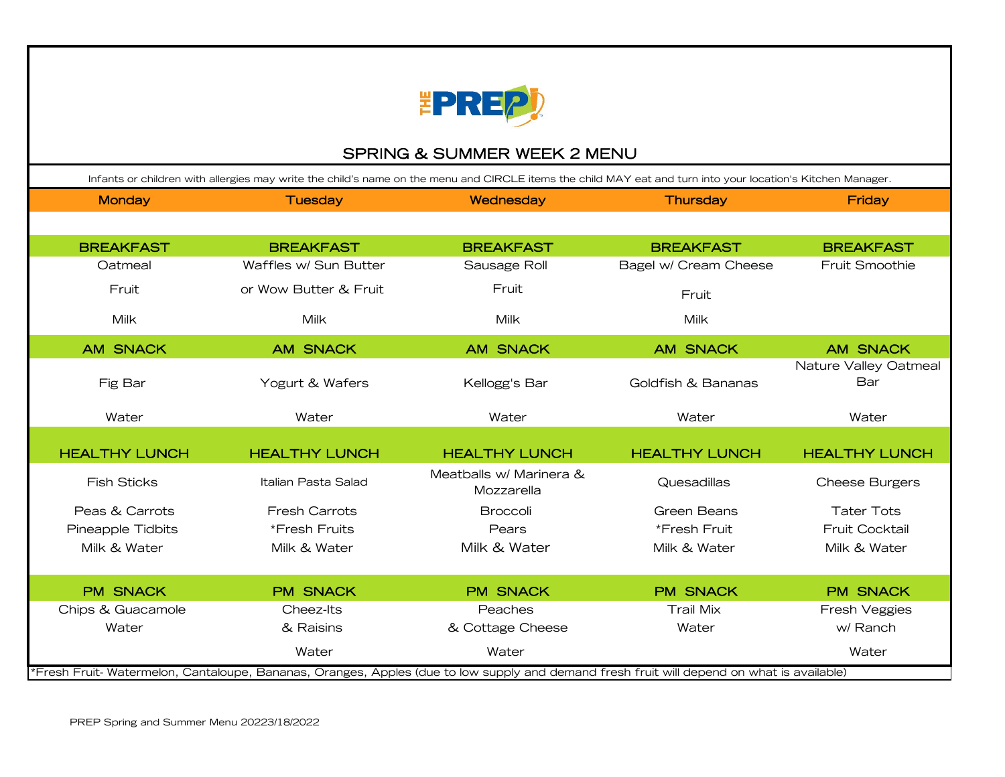

# SPRING & SUMMER WEEK 2 MENU

| Infants or children with allergies may write the child's name on the menu and CIRCLE items the child MAY eat and turn into your location's Kitchen Manager. |                       |                                       |                       |                              |
|-------------------------------------------------------------------------------------------------------------------------------------------------------------|-----------------------|---------------------------------------|-----------------------|------------------------------|
| <b>Monday</b>                                                                                                                                               | <b>Tuesday</b>        | Wednesday                             | <b>Thursday</b>       | Friday                       |
|                                                                                                                                                             |                       |                                       |                       |                              |
| <b>BREAKFAST</b>                                                                                                                                            | <b>BREAKFAST</b>      | <b>BREAKFAST</b>                      | <b>BREAKFAST</b>      | <b>BREAKFAST</b>             |
| Oatmeal                                                                                                                                                     | Waffles w/ Sun Butter | Sausage Roll                          | Bagel w/ Cream Cheese | <b>Fruit Smoothie</b>        |
| Fruit                                                                                                                                                       | or Wow Butter & Fruit | Fruit                                 | Fruit                 |                              |
| <b>Milk</b>                                                                                                                                                 | <b>Milk</b>           | Milk                                  | Milk                  |                              |
| <b>AM SNACK</b>                                                                                                                                             | <b>AM SNACK</b>       | <b>AM SNACK</b>                       | <b>AM SNACK</b>       | <b>AM SNACK</b>              |
| Fig Bar                                                                                                                                                     | Yogurt & Wafers       | Kellogg's Bar                         | Goldfish & Bananas    | Nature Valley Oatmeal<br>Bar |
| Water                                                                                                                                                       | Water                 | Water                                 | Water                 | Water                        |
|                                                                                                                                                             |                       |                                       |                       |                              |
| <b>HEALTHY LUNCH</b>                                                                                                                                        | <b>HEALTHY LUNCH</b>  | <b>HEALTHY LUNCH</b>                  | <b>HEALTHY LUNCH</b>  | <b>HEALTHY LUNCH</b>         |
| <b>Fish Sticks</b>                                                                                                                                          | Italian Pasta Salad   | Meatballs w/ Marinera &<br>Mozzarella | Quesadillas           | <b>Cheese Burgers</b>        |
| Peas & Carrots                                                                                                                                              | <b>Fresh Carrots</b>  | <b>Broccoli</b>                       | Green Beans           | <b>Tater Tots</b>            |
| Pineapple Tidbits                                                                                                                                           | *Fresh Fruits         | Pears                                 | *Fresh Fruit          | <b>Fruit Cocktail</b>        |
| Milk & Water                                                                                                                                                | Milk & Water          | Milk & Water                          | Milk & Water          | Milk & Water                 |
|                                                                                                                                                             |                       |                                       |                       |                              |
| <b>PM SNACK</b>                                                                                                                                             | <b>PM SNACK</b>       | <b>PM SNACK</b>                       | <b>PM SNACK</b>       | <b>PM SNACK</b>              |
| Chips & Guacamole                                                                                                                                           | Cheez-Its             | Peaches                               | <b>Trail Mix</b>      | Fresh Veggies                |
| Water                                                                                                                                                       | & Raisins             | & Cottage Cheese                      | Water                 | w/ Ranch                     |
|                                                                                                                                                             | Water                 | Water                                 |                       | Water                        |
| *Fresh Fruit-Watermelon, Cantaloupe, Bananas, Oranges, Apples (due to low supply and demand fresh fruit will depend on what is available)                   |                       |                                       |                       |                              |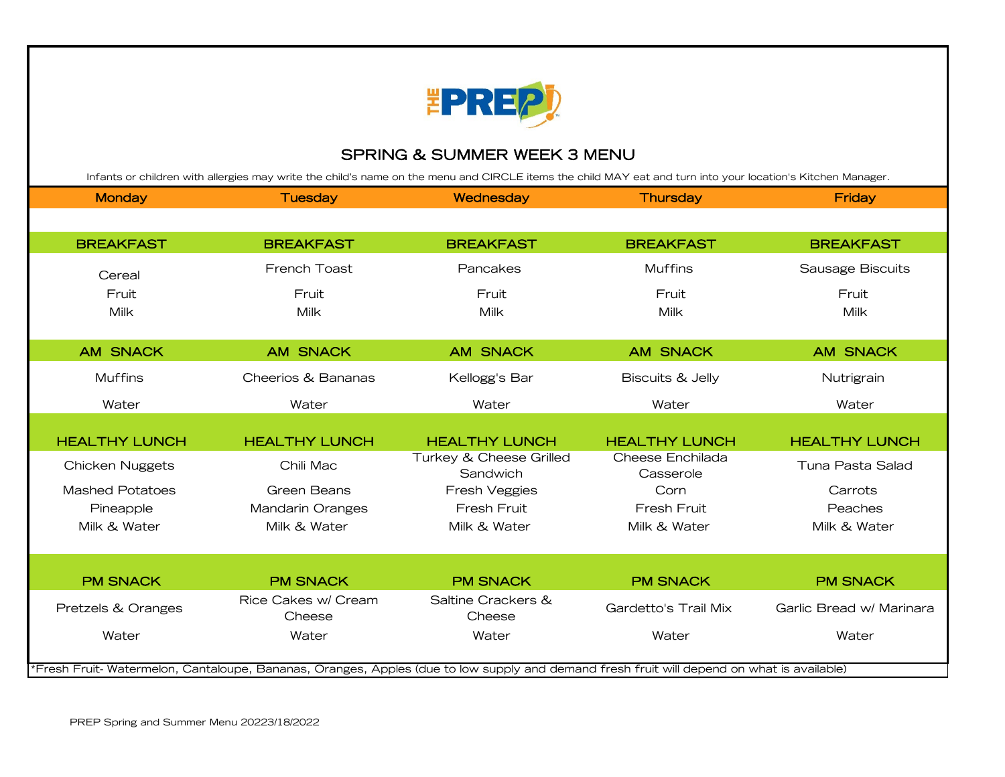

#### SPRING & SUMMER WEEK 3 MENU

| Infants or children with allergies may write the child's name on the menu and CIRCLE items the child MAY eat and turn into your location's Kitchen Manager. |                               |                                     |                               |                          |
|-------------------------------------------------------------------------------------------------------------------------------------------------------------|-------------------------------|-------------------------------------|-------------------------------|--------------------------|
| <b>Monday</b>                                                                                                                                               | <b>Tuesday</b>                | Wednesday                           | <b>Thursday</b>               | <b>Friday</b>            |
|                                                                                                                                                             |                               |                                     |                               |                          |
| <b>BREAKFAST</b>                                                                                                                                            | <b>BREAKFAST</b>              | <b>BREAKFAST</b>                    | <b>BREAKFAST</b>              | <b>BREAKFAST</b>         |
| Cereal                                                                                                                                                      | French Toast                  | Pancakes                            | <b>Muffins</b>                | Sausage Biscuits         |
| Fruit                                                                                                                                                       | Fruit                         | Fruit                               | Fruit                         | Fruit                    |
| Milk                                                                                                                                                        | Milk                          | Milk                                | Milk                          | <b>Milk</b>              |
|                                                                                                                                                             |                               |                                     |                               |                          |
| <b>AM SNACK</b>                                                                                                                                             | <b>AM SNACK</b>               | <b>AM SNACK</b>                     | <b>AM SNACK</b>               | <b>AM SNACK</b>          |
| <b>Muffins</b>                                                                                                                                              | Cheerios & Bananas            | Kellogg's Bar                       | <b>Biscuits &amp; Jelly</b>   | Nutrigrain               |
| Water                                                                                                                                                       | Water                         | Water                               | Water                         | Water                    |
|                                                                                                                                                             |                               |                                     |                               |                          |
| <b>HEALTHY LUNCH</b>                                                                                                                                        | <b>HEALTHY LUNCH</b>          | <b>HEALTHY LUNCH</b>                | <b>HEALTHY LUNCH</b>          | <b>HEALTHY LUNCH</b>     |
| <b>Chicken Nuggets</b>                                                                                                                                      | Chili Mac                     | Turkey & Cheese Grilled<br>Sandwich | Cheese Enchilada<br>Casserole | Tuna Pasta Salad         |
| <b>Mashed Potatoes</b>                                                                                                                                      | Green Beans                   | <b>Fresh Veggies</b>                | Corn                          | Carrots                  |
| Pineapple                                                                                                                                                   | Mandarin Oranges              | Fresh Fruit                         | Fresh Fruit                   | Peaches                  |
| Milk & Water                                                                                                                                                | Milk & Water                  | Milk & Water                        | Milk & Water                  | Milk & Water             |
|                                                                                                                                                             |                               |                                     |                               |                          |
|                                                                                                                                                             |                               |                                     |                               |                          |
| <b>PM SNACK</b>                                                                                                                                             | <b>PM SNACK</b>               | <b>PM SNACK</b>                     | <b>PM SNACK</b>               | <b>PM SNACK</b>          |
| Pretzels & Oranges                                                                                                                                          | Rice Cakes w/ Cream<br>Cheese | Saltine Crackers &<br>Cheese        | Gardetto's Trail Mix          | Garlic Bread w/ Marinara |
| Water                                                                                                                                                       | Water                         | Water                               | Water                         | Water                    |
|                                                                                                                                                             |                               |                                     |                               |                          |
| *Fresh Fruit-Watermelon, Cantaloupe, Bananas, Oranges, Apples (due to low supply and demand fresh fruit will depend on what is available)                   |                               |                                     |                               |                          |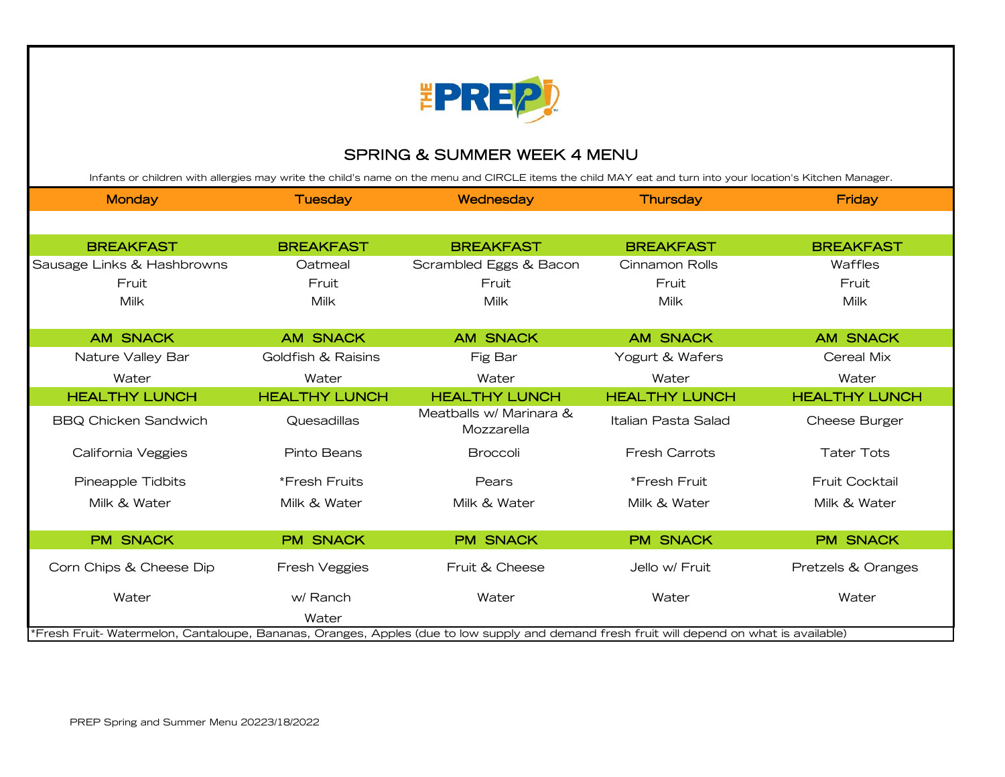

### SPRING & SUMMER WEEK 4 MENU

Infants or children with allergies may write the child's name on the menu and CIRCLE items the child MAY eat and turn into your location's Kitchen Manager.

| <b>Monday</b>                                                                                                                              | <b>Tuesday</b>       | Wednesday                             | <b>Thursday</b>      | Friday                |
|--------------------------------------------------------------------------------------------------------------------------------------------|----------------------|---------------------------------------|----------------------|-----------------------|
|                                                                                                                                            |                      |                                       |                      |                       |
| <b>BREAKFAST</b>                                                                                                                           | <b>BREAKFAST</b>     | <b>BREAKFAST</b>                      | <b>BREAKFAST</b>     | <b>BREAKFAST</b>      |
| Sausage Links & Hashbrowns                                                                                                                 | Oatmeal              | Scrambled Eggs & Bacon                | Cinnamon Rolls       | Waffles               |
| Fruit                                                                                                                                      | Fruit                | Fruit                                 | Fruit                | Fruit                 |
| Milk                                                                                                                                       | Milk                 | <b>Milk</b>                           | Milk                 | <b>Milk</b>           |
|                                                                                                                                            |                      |                                       |                      |                       |
| <b>AM SNACK</b>                                                                                                                            | <b>AM SNACK</b>      | <b>AM SNACK</b>                       | <b>AM SNACK</b>      | <b>AM SNACK</b>       |
| Nature Valley Bar                                                                                                                          | Goldfish & Raisins   | Fig Bar                               | Yogurt & Wafers      | Cereal Mix            |
| Water                                                                                                                                      | Water                | Water                                 | Water                | Water                 |
| <b>HEALTHY LUNCH</b>                                                                                                                       | <b>HEALTHY LUNCH</b> | <b>HEALTHY LUNCH</b>                  | <b>HEALTHY LUNCH</b> | <b>HEALTHY LUNCH</b>  |
| <b>BBQ Chicken Sandwich</b>                                                                                                                | Quesadillas          | Meatballs w/ Marinara &<br>Mozzarella | Italian Pasta Salad  | Cheese Burger         |
| California Veggies                                                                                                                         | Pinto Beans          | <b>Broccoli</b>                       | <b>Fresh Carrots</b> | <b>Tater Tots</b>     |
| Pineapple Tidbits                                                                                                                          | *Fresh Fruits        | Pears                                 | *Fresh Fruit         | <b>Fruit Cocktail</b> |
| Milk & Water                                                                                                                               | Milk & Water         | Milk & Water                          | Milk & Water         | Milk & Water          |
|                                                                                                                                            |                      |                                       |                      |                       |
| <b>PM SNACK</b>                                                                                                                            | <b>PM SNACK</b>      | <b>PM SNACK</b>                       | <b>PM SNACK</b>      | <b>PM SNACK</b>       |
| Corn Chips & Cheese Dip                                                                                                                    | Fresh Veggies        | Fruit & Cheese                        | Jello w/ Fruit       | Pretzels & Oranges    |
| Water                                                                                                                                      | w/ Ranch             | Water                                 | Water                | Water                 |
|                                                                                                                                            | Water                |                                       |                      |                       |
| *Fresh Fruit- Watermelon, Cantaloupe, Bananas, Oranges, Apples (due to low supply and demand fresh fruit will depend on what is available) |                      |                                       |                      |                       |